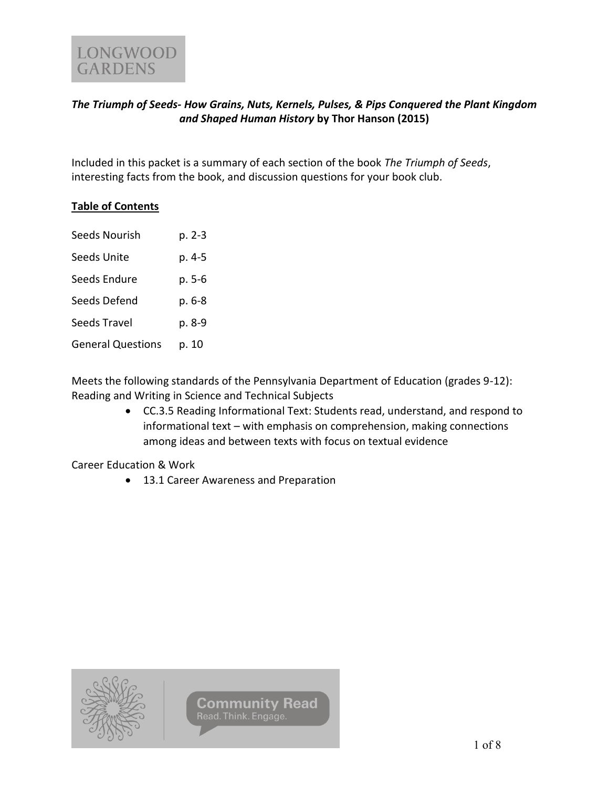

# *The Triumph of Seeds- How Grains, Nuts, Kernels, Pulses, & Pips Conquered the Plant Kingdom and Shaped Human History* **by Thor Hanson (2015)**

Included in this packet is a summary of each section of the book *The Triumph of Seeds*, interesting facts from the book, and discussion questions for your book club.

## **Table of Contents**

| Seeds Nourish            | p. 2-3   |
|--------------------------|----------|
| Seeds Unite              | p. 4-5   |
| Seeds Endure             | $p. 5-6$ |
| Seeds Defend             | p. 6-8   |
| Seeds Travel             | p. 8-9   |
| <b>General Questions</b> | p. 10    |

Meets the following standards of the Pennsylvania Department of Education (grades 9-12): Reading and Writing in Science and Technical Subjects

> • CC.3.5 Reading Informational Text: Students read, understand, and respond to informational text – with emphasis on comprehension, making connections among ideas and between texts with focus on textual evidence

Career Education & Work

• 13.1 Career Awareness and Preparation

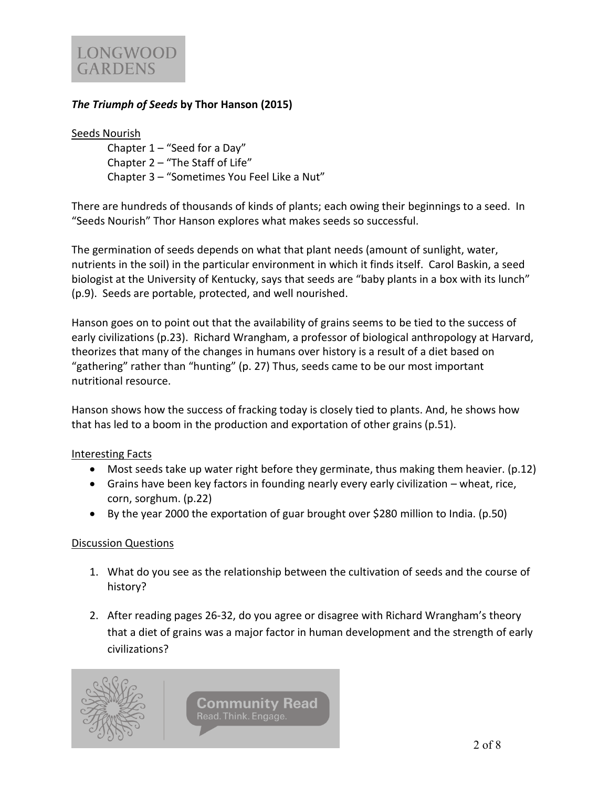

## *The Triumph of Seeds* **by Thor Hanson (2015)**

#### Seeds Nourish

Chapter  $1 -$  "Seed for a Day" Chapter 2 – "The Staff of Life" Chapter 3 – "Sometimes You Feel Like a Nut"

There are hundreds of thousands of kinds of plants; each owing their beginnings to a seed. In "Seeds Nourish" Thor Hanson explores what makes seeds so successful.

The germination of seeds depends on what that plant needs (amount of sunlight, water, nutrients in the soil) in the particular environment in which it finds itself. Carol Baskin, a seed biologist at the University of Kentucky, says that seeds are "baby plants in a box with its lunch" (p.9). Seeds are portable, protected, and well nourished.

Hanson goes on to point out that the availability of grains seems to be tied to the success of early civilizations (p.23). Richard Wrangham, a professor of biological anthropology at Harvard, theorizes that many of the changes in humans over history is a result of a diet based on "gathering" rather than "hunting" (p. 27) Thus, seeds came to be our most important nutritional resource.

Hanson shows how the success of fracking today is closely tied to plants. And, he shows how that has led to a boom in the production and exportation of other grains (p.51).

#### Interesting Facts

- Most seeds take up water right before they germinate, thus making them heavier. (p.12)
- Grains have been key factors in founding nearly every early civilization wheat, rice, corn, sorghum. (p.22)
- By the year 2000 the exportation of guar brought over \$280 million to India. (p.50)

## Discussion Questions

- 1. What do you see as the relationship between the cultivation of seeds and the course of history?
- 2. After reading pages 26-32, do you agree or disagree with Richard Wrangham's theory that a diet of grains was a major factor in human development and the strength of early civilizations?

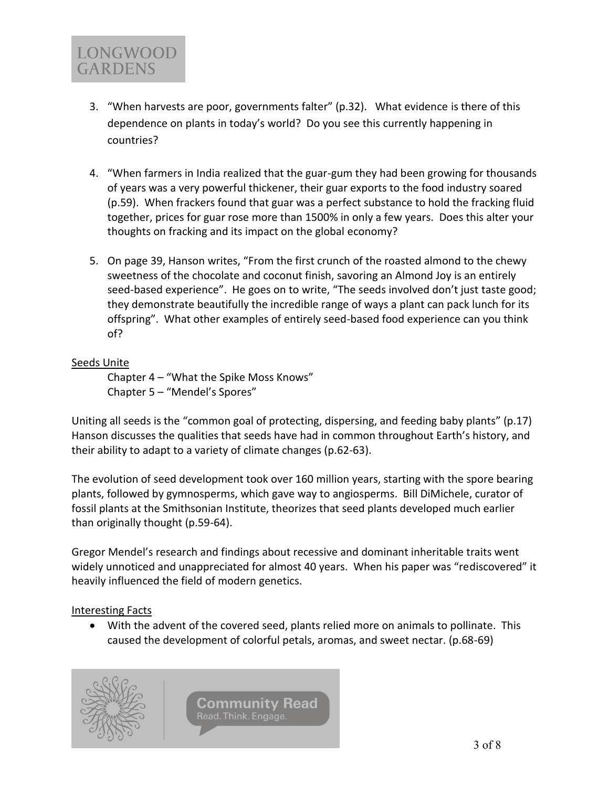

- 4. "When farmers in India realized that the guar-gum they had been growing for thousands of years was a very powerful thickener, their guar exports to the food industry soared (p.59). When frackers found that guar was a perfect substance to hold the fracking fluid together, prices for guar rose more than 1500% in only a few years. Does this alter your thoughts on fracking and its impact on the global economy?
- 5. On page 39, Hanson writes, "From the first crunch of the roasted almond to the chewy sweetness of the chocolate and coconut finish, savoring an Almond Joy is an entirely seed-based experience". He goes on to write, "The seeds involved don't just taste good; they demonstrate beautifully the incredible range of ways a plant can pack lunch for its offspring". What other examples of entirely seed-based food experience can you think of?

## Seeds Unite

**LONGWOOD GARDENS** 

> Chapter 4 – "What the Spike Moss Knows" Chapter 5 – "Mendel's Spores"

Uniting all seeds is the "common goal of protecting, dispersing, and feeding baby plants" (p.17) Hanson discusses the qualities that seeds have had in common throughout Earth's history, and their ability to adapt to a variety of climate changes (p.62-63).

The evolution of seed development took over 160 million years, starting with the spore bearing plants, followed by gymnosperms, which gave way to angiosperms. Bill DiMichele, curator of fossil plants at the Smithsonian Institute, theorizes that seed plants developed much earlier than originally thought (p.59-64).

Gregor Mendel's research and findings about recessive and dominant inheritable traits went widely unnoticed and unappreciated for almost 40 years. When his paper was "rediscovered" it heavily influenced the field of modern genetics.

## Interesting Facts

• With the advent of the covered seed, plants relied more on animals to pollinate. This caused the development of colorful petals, aromas, and sweet nectar. (p.68-69)

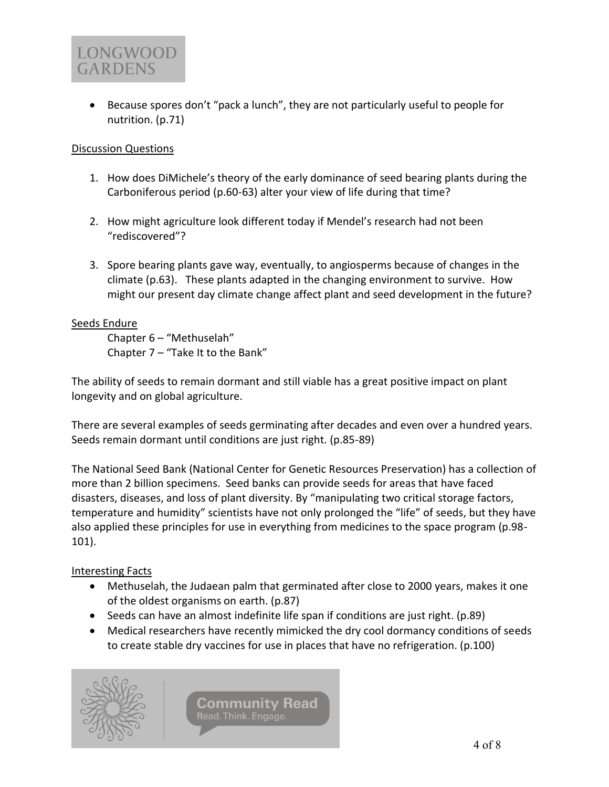

• Because spores don't "pack a lunch", they are not particularly useful to people for nutrition. (p.71)

#### Discussion Questions

- 1. How does DiMichele's theory of the early dominance of seed bearing plants during the Carboniferous period (p.60-63) alter your view of life during that time?
- 2. How might agriculture look different today if Mendel's research had not been "rediscovered"?
- 3. Spore bearing plants gave way, eventually, to angiosperms because of changes in the climate (p.63). These plants adapted in the changing environment to survive. How might our present day climate change affect plant and seed development in the future?

#### Seeds Endure

Chapter 6 – "Methuselah" Chapter  $7 -$  "Take It to the Bank"

The ability of seeds to remain dormant and still viable has a great positive impact on plant longevity and on global agriculture.

There are several examples of seeds germinating after decades and even over a hundred years. Seeds remain dormant until conditions are just right. (p.85-89)

The National Seed Bank (National Center for Genetic Resources Preservation) has a collection of more than 2 billion specimens. Seed banks can provide seeds for areas that have faced disasters, diseases, and loss of plant diversity. By "manipulating two critical storage factors, temperature and humidity" scientists have not only prolonged the "life" of seeds, but they have also applied these principles for use in everything from medicines to the space program (p.98- 101).

## Interesting Facts

- Methuselah, the Judaean palm that germinated after close to 2000 years, makes it one of the oldest organisms on earth. (p.87)
- Seeds can have an almost indefinite life span if conditions are just right. (p.89)
- Medical researchers have recently mimicked the dry cool dormancy conditions of seeds to create stable dry vaccines for use in places that have no refrigeration. (p.100)

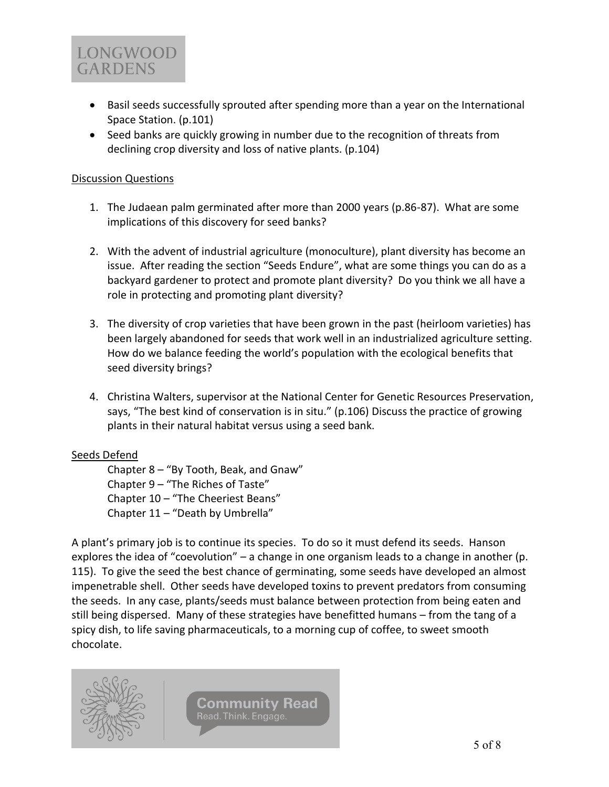

- Basil seeds successfully sprouted after spending more than a year on the International Space Station. (p.101)
- Seed banks are quickly growing in number due to the recognition of threats from declining crop diversity and loss of native plants. (p.104)

#### Discussion Questions

- 1. The Judaean palm germinated after more than 2000 years (p.86-87). What are some implications of this discovery for seed banks?
- 2. With the advent of industrial agriculture (monoculture), plant diversity has become an issue. After reading the section "Seeds Endure", what are some things you can do as a backyard gardener to protect and promote plant diversity? Do you think we all have a role in protecting and promoting plant diversity?
- 3. The diversity of crop varieties that have been grown in the past (heirloom varieties) has been largely abandoned for seeds that work well in an industrialized agriculture setting. How do we balance feeding the world's population with the ecological benefits that seed diversity brings?
- 4. Christina Walters, supervisor at the National Center for Genetic Resources Preservation, says, "The best kind of conservation is in situ." (p.106) Discuss the practice of growing plants in their natural habitat versus using a seed bank.

## Seeds Defend

Chapter 8 – "By Tooth, Beak, and Gnaw" Chapter 9 – "The Riches of Taste" Chapter 10 – "The Cheeriest Beans" Chapter 11 – "Death by Umbrella"

A plant's primary job is to continue its species. To do so it must defend its seeds. Hanson explores the idea of "coevolution" – a change in one organism leads to a change in another (p. 115). To give the seed the best chance of germinating, some seeds have developed an almost impenetrable shell. Other seeds have developed toxins to prevent predators from consuming the seeds. In any case, plants/seeds must balance between protection from being eaten and still being dispersed. Many of these strategies have benefitted humans – from the tang of a spicy dish, to life saving pharmaceuticals, to a morning cup of coffee, to sweet smooth chocolate.

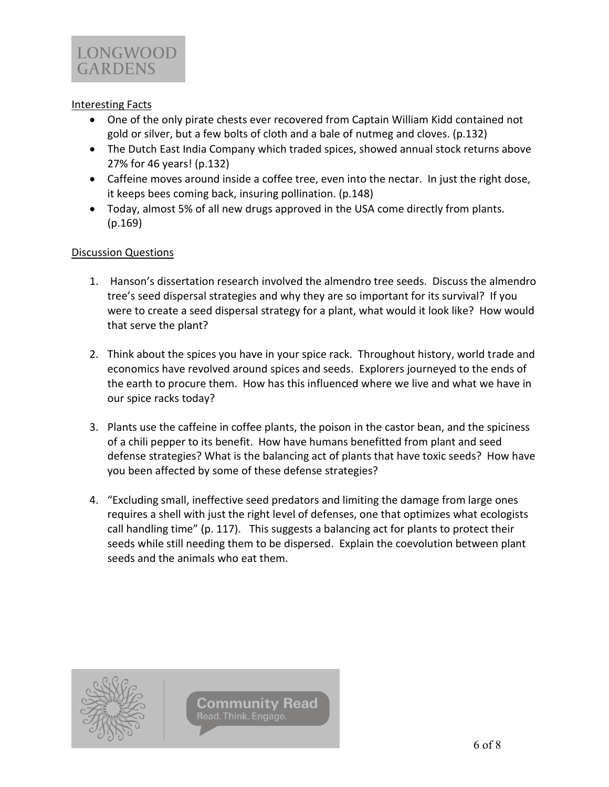

#### Interesting Facts

- One of the only pirate chests ever recovered from Captain William Kidd contained not gold or silver, but a few bolts of cloth and a bale of nutmeg and cloves. (p.132)
- The Dutch East India Company which traded spices, showed annual stock returns above 27% for 46 years! (p.132)
- Caffeine moves around inside a coffee tree, even into the nectar. In just the right dose, it keeps bees coming back, insuring pollination. (p.148)
- Today, almost 5% of all new drugs approved in the USA come directly from plants. (p.169)

## Discussion Questions

- 1. Hanson's dissertation research involved the almendro tree seeds. Discuss the almendro tree's seed dispersal strategies and why they are so important for its survival? If you were to create a seed dispersal strategy for a plant, what would it look like? How would that serve the plant?
- 2. Think about the spices you have in your spice rack. Throughout history, world trade and economics have revolved around spices and seeds. Explorers journeyed to the ends of the earth to procure them. How has this influenced where we live and what we have in our spice racks today?
- 3. Plants use the caffeine in coffee plants, the poison in the castor bean, and the spiciness of a chili pepper to its benefit. How have humans benefitted from plant and seed defense strategies? What is the balancing act of plants that have toxic seeds? How have you been affected by some of these defense strategies?
- 4. "Excluding small, ineffective seed predators and limiting the damage from large ones requires a shell with just the right level of defenses, one that optimizes what ecologists call handling time" (p. 117). This suggests a balancing act for plants to protect their seeds while still needing them to be dispersed. Explain the coevolution between plant seeds and the animals who eat them.

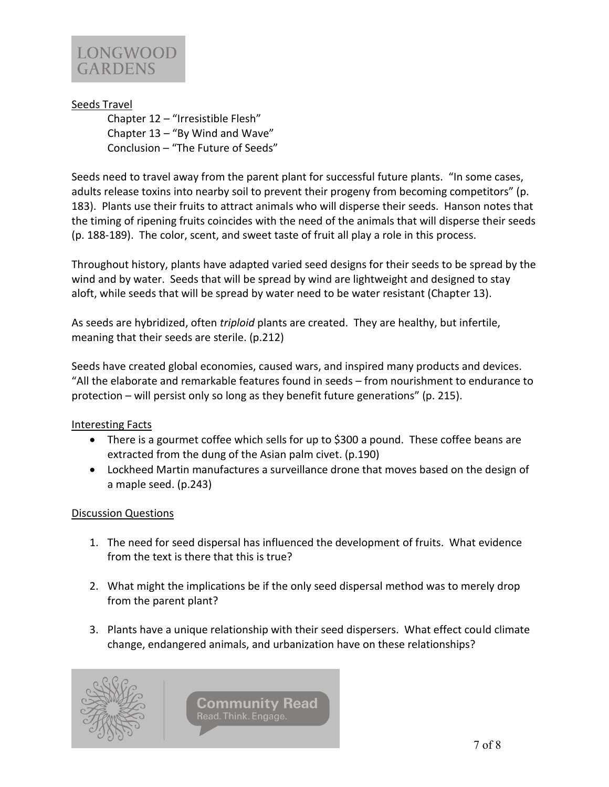

## Seeds Travel

Chapter 12 – "Irresistible Flesh" Chapter  $13 -$  "By Wind and Wave" Conclusion – "The Future of Seeds"

Seeds need to travel away from the parent plant for successful future plants. "In some cases, adults release toxins into nearby soil to prevent their progeny from becoming competitors" (p. 183). Plants use their fruits to attract animals who will disperse their seeds. Hanson notes that the timing of ripening fruits coincides with the need of the animals that will disperse their seeds (p. 188-189). The color, scent, and sweet taste of fruit all play a role in this process.

Throughout history, plants have adapted varied seed designs for their seeds to be spread by the wind and by water. Seeds that will be spread by wind are lightweight and designed to stay aloft, while seeds that will be spread by water need to be water resistant (Chapter 13).

As seeds are hybridized, often *triploid* plants are created. They are healthy, but infertile, meaning that their seeds are sterile. (p.212)

Seeds have created global economies, caused wars, and inspired many products and devices. "All the elaborate and remarkable features found in seeds – from nourishment to endurance to protection – will persist only so long as they benefit future generations" (p. 215).

## Interesting Facts

- There is a gourmet coffee which sells for up to \$300 a pound. These coffee beans are extracted from the dung of the Asian palm civet. (p.190)
- Lockheed Martin manufactures a surveillance drone that moves based on the design of a maple seed. (p.243)

## Discussion Questions

- 1. The need for seed dispersal has influenced the development of fruits. What evidence from the text is there that this is true?
- 2. What might the implications be if the only seed dispersal method was to merely drop from the parent plant?
- 3. Plants have a unique relationship with their seed dispersers. What effect could climate change, endangered animals, and urbanization have on these relationships?